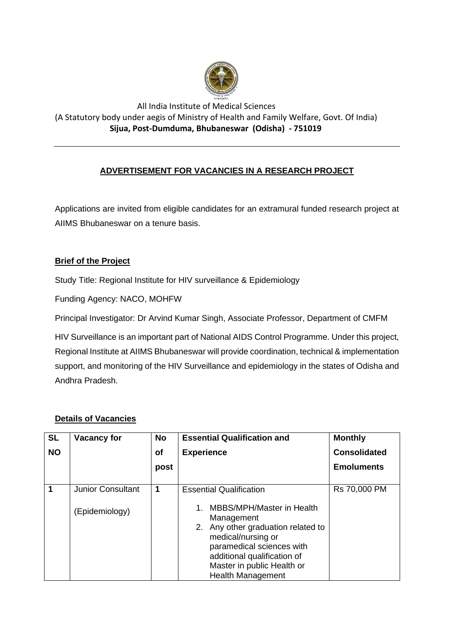

## All India Institute of Medical Sciences (A Statutory body under aegis of Ministry of Health and Family Welfare, Govt. Of India) **Sijua, Post-Dumduma, Bhubaneswar (Odisha) - 751019**

# **ADVERTISEMENT FOR VACANCIES IN A RESEARCH PROJECT**

Applications are invited from eligible candidates for an extramural funded research project at AIIMS Bhubaneswar on a tenure basis.

## **Brief of the Project**

Study Title: Regional Institute for HIV surveillance & Epidemiology

Funding Agency: NACO, MOHFW

Principal Investigator: Dr Arvind Kumar Singh, Associate Professor, Department of CMFM

HIV Surveillance is an important part of National AIDS Control Programme. Under this project, Regional Institute at AIIMS Bhubaneswar will provide coordination, technical & implementation support, and monitoring of the HIV Surveillance and epidemiology in the states of Odisha and Andhra Pradesh.

## **Details of Vacancies**

| <b>SL</b> | <b>Vacancy for</b>       | <b>No</b> | <b>Essential Qualification and</b>                                                                                                                                                                                                 | <b>Monthly</b>      |
|-----------|--------------------------|-----------|------------------------------------------------------------------------------------------------------------------------------------------------------------------------------------------------------------------------------------|---------------------|
| <b>NO</b> |                          | <b>of</b> | <b>Experience</b>                                                                                                                                                                                                                  | <b>Consolidated</b> |
|           |                          | post      |                                                                                                                                                                                                                                    | <b>Emoluments</b>   |
|           | <b>Junior Consultant</b> | 1         | <b>Essential Qualification</b>                                                                                                                                                                                                     | Rs 70,000 PM        |
|           | (Epidemiology)           |           | MBBS/MPH/Master in Health<br>1.<br>Management<br>Any other graduation related to<br>2.<br>medical/nursing or<br>paramedical sciences with<br>additional qualification of<br>Master in public Health or<br><b>Health Management</b> |                     |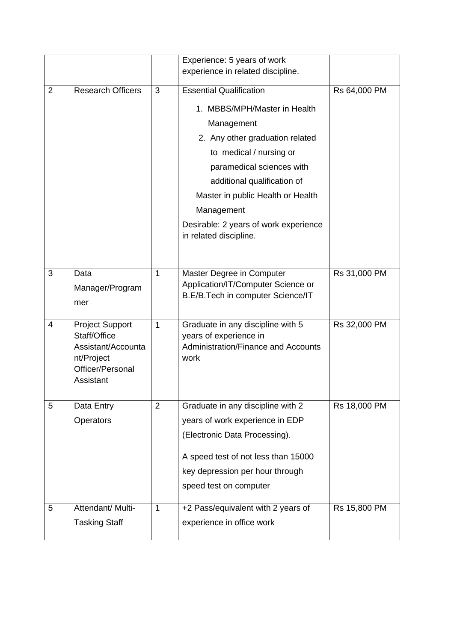|                |                                        |              | Experience: 5 years of work                                             |              |
|----------------|----------------------------------------|--------------|-------------------------------------------------------------------------|--------------|
|                |                                        |              | experience in related discipline.                                       |              |
| $\overline{2}$ | <b>Research Officers</b>               | 3            | <b>Essential Qualification</b>                                          | Rs 64,000 PM |
|                |                                        |              | 1. MBBS/MPH/Master in Health                                            |              |
|                |                                        |              | Management                                                              |              |
|                |                                        |              | 2. Any other graduation related                                         |              |
|                |                                        |              | to medical / nursing or                                                 |              |
|                |                                        |              | paramedical sciences with                                               |              |
|                |                                        |              | additional qualification of                                             |              |
|                |                                        |              | Master in public Health or Health                                       |              |
|                |                                        |              | Management                                                              |              |
|                |                                        |              | Desirable: 2 years of work experience<br>in related discipline.         |              |
|                |                                        |              |                                                                         |              |
| 3              | Data                                   | $\mathbf{1}$ | Master Degree in Computer                                               | Rs 31,000 PM |
|                | Manager/Program                        |              | Application/IT/Computer Science or<br>B.E/B.Tech in computer Science/IT |              |
|                | mer                                    |              |                                                                         |              |
| 4              | <b>Project Support</b><br>Staff/Office | $\mathbf{1}$ | Graduate in any discipline with 5<br>years of experience in             | Rs 32,000 PM |
|                | Assistant/Accounta                     |              | Administration/Finance and Accounts                                     |              |
|                | nt/Project                             |              | work                                                                    |              |
|                | Officer/Personal<br>Assistant          |              |                                                                         |              |
|                |                                        |              |                                                                         |              |
| 5              | Data Entry                             | 2            | Graduate in any discipline with 2                                       | Rs 18,000 PM |
|                | Operators                              |              | years of work experience in EDP                                         |              |
|                |                                        |              | (Electronic Data Processing).                                           |              |
|                |                                        |              | A speed test of not less than 15000                                     |              |
|                |                                        |              | key depression per hour through                                         |              |
|                |                                        |              | speed test on computer                                                  |              |
| 5              | Attendant/ Multi-                      | $\mathbf{1}$ | +2 Pass/equivalent with 2 years of                                      | Rs 15,800 PM |
|                | <b>Tasking Staff</b>                   |              | experience in office work                                               |              |
|                |                                        |              |                                                                         |              |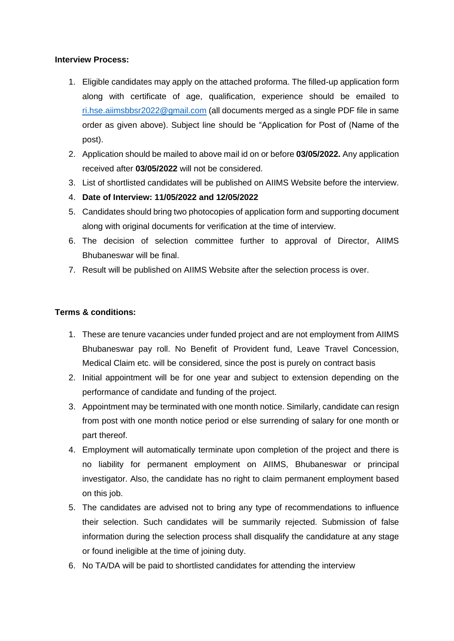#### **Interview Process:**

- 1. Eligible candidates may apply on the attached proforma. The filled-up application form along with certificate of age, qualification, experience should be emailed to [ri.hse.aiimsbbsr2022@gmail.com](mailto:ri.hse.aiimsbbsr2022@gmail.com) (all documents merged as a single PDF file in same order as given above). Subject line should be "Application for Post of (Name of the post).
- 2. Application should be mailed to above mail id on or before **03/05/2022.** Any application received after **03/05/2022** will not be considered.
- 3. List of shortlisted candidates will be published on AIIMS Website before the interview.
- 4. **Date of Interview: 11/05/2022 and 12/05/2022**
- 5. Candidates should bring two photocopies of application form and supporting document along with original documents for verification at the time of interview.
- 6. The decision of selection committee further to approval of Director, AIIMS Bhubaneswar will be final.
- 7. Result will be published on AIIMS Website after the selection process is over.

## **Terms & conditions:**

- 1. These are tenure vacancies under funded project and are not employment from AIIMS Bhubaneswar pay roll. No Benefit of Provident fund, Leave Travel Concession, Medical Claim etc. will be considered, since the post is purely on contract basis
- 2. Initial appointment will be for one year and subject to extension depending on the performance of candidate and funding of the project.
- 3. Appointment may be terminated with one month notice. Similarly, candidate can resign from post with one month notice period or else surrending of salary for one month or part thereof.
- 4. Employment will automatically terminate upon completion of the project and there is no liability for permanent employment on AIIMS, Bhubaneswar or principal investigator. Also, the candidate has no right to claim permanent employment based on this job.
- 5. The candidates are advised not to bring any type of recommendations to influence their selection. Such candidates will be summarily rejected. Submission of false information during the selection process shall disqualify the candidature at any stage or found ineligible at the time of joining duty.
- 6. No TA/DA will be paid to shortlisted candidates for attending the interview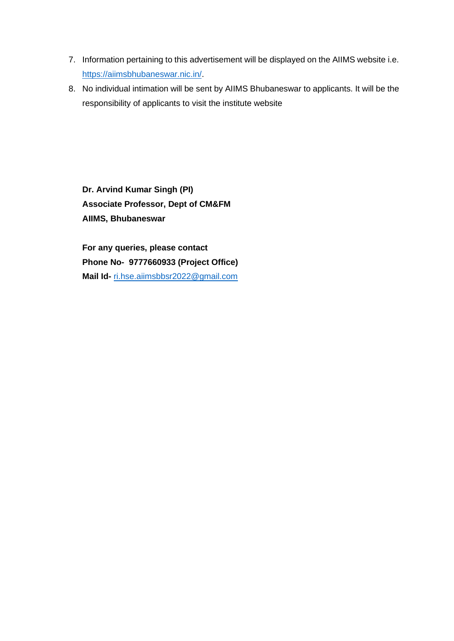- 7. Information pertaining to this advertisement will be displayed on the AIIMS website i.e. [https://aiimsbhubaneswar.nic.in/.](https://aiimsbhubaneswar.nic.in/)
- 8. No individual intimation will be sent by AIIMS Bhubaneswar to applicants. It will be the responsibility of applicants to visit the institute website

**Dr. Arvind Kumar Singh (PI) Associate Professor, Dept of CM&FM AIIMS, Bhubaneswar**

**For any queries, please contact Phone No- 9777660933 (Project Office) Mail Id-** [ri.hse.aiimsbbsr2022@gmail.com](mailto:ri.hse.aiimsbbsr2022@gmail.com)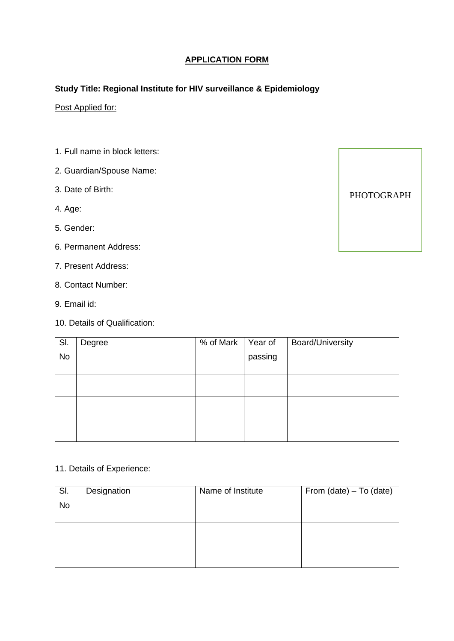# **APPLICATION FORM**

## **Study Title: Regional Institute for HIV surveillance & Epidemiology**

# Post Applied for:

- 1. Full name in block letters:
- 2. Guardian/Spouse Name:
- 3. Date of Birth:
- 4. Age:
- 5. Gender:
- 6. Permanent Address:
- 7. Present Address:
- 8. Contact Number:
- 9. Email id:
- 10. Details of Qualification:

| SI.       | Degree | % of Mark | Year of | <b>Board/University</b> |
|-----------|--------|-----------|---------|-------------------------|
| <b>No</b> |        |           | passing |                         |
|           |        |           |         |                         |
|           |        |           |         |                         |
|           |        |           |         |                         |
|           |        |           |         |                         |
|           |        |           |         |                         |
|           |        |           |         |                         |
|           |        |           |         |                         |

### 11. Details of Experience:

| SI.       | Designation | Name of Institute | From $(data) - To (date)$ |
|-----------|-------------|-------------------|---------------------------|
| <b>No</b> |             |                   |                           |
|           |             |                   |                           |
|           |             |                   |                           |
|           |             |                   |                           |
|           |             |                   |                           |
|           |             |                   |                           |

PHOTOGRAPH